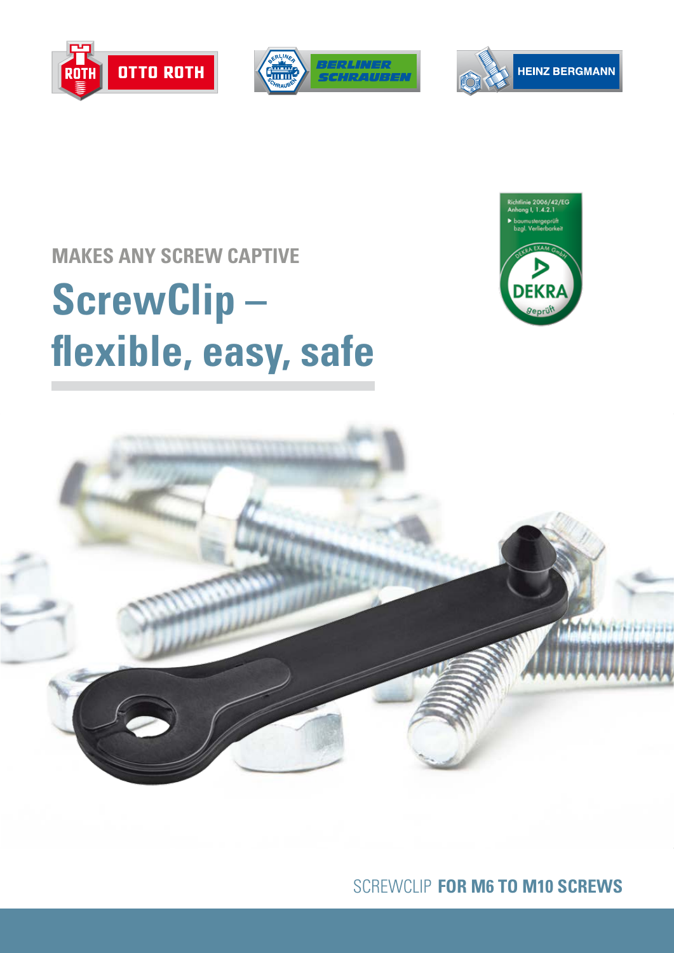





## **MAKES ANY SCREW CAPTIVE**

# **ScrewClip – flexible, easy, safe**





SCREWCLIP **FOR M6 TO M10 SCREWS**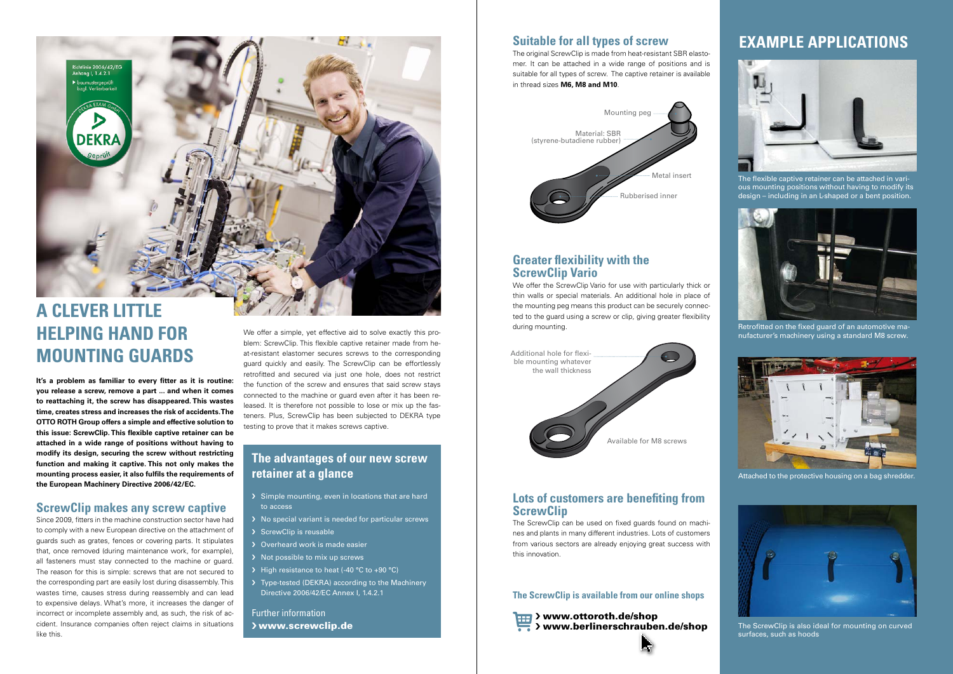Further information > www.screwclip.de

## **The advantages of our new screw retainer at a glance**

- > Simple mounting, even in locations that are hard to access
- > No special variant is needed for particular screws
- > ScrewClip is reusable
- > Overheard work is made easier
- › Not possible to mix up screws
- > High resistance to heat (-40 °C to +90 °C)
- › Type-tested (DEKRA) according to the Machinery Directive 2006/42/EC Annex I, 1.4.2.1

## **EXAMPLE APPLICATIONS**



Retrofitted on the fixed guard of an automotive manufacturer's machinery using a standard M8 screw.



The flexible captive retainer can be attached in various mounting positions without having to modify its design – including in an L-shaped or a bent position.



Attached to the protective housing on a bag shredder.



The ScrewClip is also ideal for mounting on curved surfaces, such as hoods

# **A CLEVER LITTLE HELPING HAND FOR MOUNTING GUARDS**

.<br>Richtlinie 2006/42/EG<br>Anhang I, 1.4.2.1

**It's a problem as familiar to every fitter as it is routine: you release a screw, remove a part ... and when it comes to reattaching it, the screw has disappeared. This wastes time, creates stress and increases the risk of accidents. The OTTO ROTH Group offers a simple and effective solution to this issue: ScrewClip. This flexible captive retainer can be attached in a wide range of positions without having to modify its design, securing the screw without restricting function and making it captive. This not only makes the mounting process easier, it also fulfils the requirements of the European Machinery Directive 2006/42/EC.** 

#### **ScrewClip makes any screw captive**

We offer the ScrewClip Vario for use with particularly thick or thin walls or special materials. An additional hole in place of the mounting peg means this product can be securely connected to the guard using a screw or clip, giving greater flexibility during mounting.

Since 2009, fitters in the machine construction sector have had to comply with a new European directive on the attachment of guards such as grates, fences or covering parts. It stipulates that, once removed (during maintenance work, for example), all fasteners must stay connected to the machine or guard. The reason for this is simple: screws that are not secured to the corresponding part are easily lost during disassembly. This wastes time, causes stress during reassembly and can lead to expensive delays. What's more, it increases the danger of incorrect or incomplete assembly and, as such, the risk of accident. Insurance companies often reject claims in situations like this.

We offer a simple, yet effective aid to solve exactly this problem: ScrewClip. This flexible captive retainer made from heat-resistant elastomer secures screws to the corresponding guard quickly and easily. The ScrewClip can be effortlessly retrofitted and secured via just one hole, does not restrict the function of the screw and ensures that said screw stays connected to the machine or guard even after it has been released. It is therefore not possible to lose or mix up the fasteners. Plus, ScrewClip has been subjected to DEKRA type testing to prove that it makes screws captive.

## **Suitable for all types of screw**

The original ScrewClip is made from heat-resistant SBR elastomer. It can be attached in a wide range of positions and is suitable for all types of screw. The captive retainer is available in thread sizes **M6, M8 and M10**.

#### **Greater flexibility with the ScrewClip Vario**





### **Lots of customers are benefiting from ScrewClip**

The ScrewClip can be used on fixed guards found on machines and plants in many different industries. Lots of customers from various sectors are already enjoying great success with this innovation.

**The ScrewClip is available from our online shops**

> www.ottoroth.de/shop > www.berlinerschrauben.de/shop